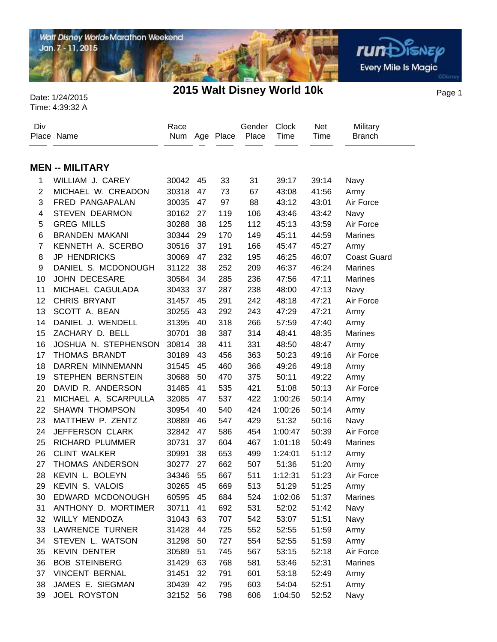

Page 1 Date: 1/24/2015 **2015 Walt Disney World 10k** Time: 4:39:32 A

#### Div Place Name Race Num Age Place Gender Place Clock Time **Military Branch**  Net Time **MEN -- MILITARY** WILLIAM J. CAREY 30042 45 33 31 39:17 39:14 Navy MICHAEL W. CREADON 30318 47 73 67 43:08 41:56 Army FRED PANGAPALAN 30035 47 97 88 43:12 43:01 Air Force STEVEN DEARMON 30162 27 119 106 43:46 43:42 Navy GREG MILLS 30288 38 125 112 45:13 43:59 Air Force BRANDEN MAKANI 30344 29 170 149 45:11 44:59 Marines KENNETH A. SCERBO 30516 37 191 166 45:47 45:27 Army JP HENDRICKS 30069 47 232 195 46:25 46:07 Coast Guard DANIEL S. MCDONOUGH 31122 38 252 209 46:37 46:24 Marines JOHN DECESARE 30584 34 285 236 47:56 47:11 Marines MICHAEL CAGULADA 30433 37 287 238 48:00 47:13 Navy CHRIS BRYANT 31457 45 291 242 48:18 47:21 Air Force SCOTT A. BEAN 30255 43 292 243 47:29 47:21 Army DANIEL J. WENDELL 31395 40 318 266 57:59 47:40 Army ZACHARY D. BELL 30701 38 387 314 48:41 48:35 Marines JOSHUA N. STEPHENSON 30814 38 411 331 48:50 48:47 Army THOMAS BRANDT 30189 43 456 363 50:23 49:16 Air Force DARREN MINNEMANN 31545 45 460 366 49:26 49:18 Army STEPHEN BERNSTEIN 30688 50 470 375 50:11 49:22 Army DAVID R. ANDERSON 31485 41 535 421 51:08 50:13 Air Force MICHAEL A. SCARPULLA 32085 47 537 422 1:00:26 50:14 Army SHAWN THOMPSON 30954 40 540 424 1:00:26 50:14 Army MATTHEW P. ZENTZ 30889 46 547 429 51:32 50:16 Navy JEFFERSON CLARK 32842 47 586 454 1:00:47 50:39 Air Force RICHARD PLUMMER 30731 37 604 467 1:01:18 50:49 Marines CLINT WALKER 30991 38 653 499 1:24:01 51:12 Army THOMAS ANDERSON 30277 27 662 507 51:36 51:20 Army KEVIN L. BOLEYN 34346 55 667 511 1:12:31 51:23 Air Force KEVIN S. VALOIS 30265 45 669 513 51:29 51:25 Army EDWARD MCDONOUGH 60595 45 684 524 1:02:06 51:37 Marines ANTHONY D. MORTIMER 30711 41 692 531 52:02 51:42 Navy WILLY MENDOZA 31043 63 707 542 53:07 51:51 Navy LAWRENCE TURNER 31428 44 725 552 52:55 51:59 Army STEVEN L. WATSON 31298 50 727 554 52:55 51:59 Army KEVIN DENTER 30589 51 745 567 53:15 52:18 Air Force BOB STEINBERG 31429 63 768 581 53:46 52:31 Marines VINCENT BERNAL 31451 32 791 601 53:18 52:49 Army JAMES E. SIEGMAN 30439 42 795 603 54:04 52:51 Army JOEL ROYSTON 32152 56 798 606 1:04:50 52:52 Navy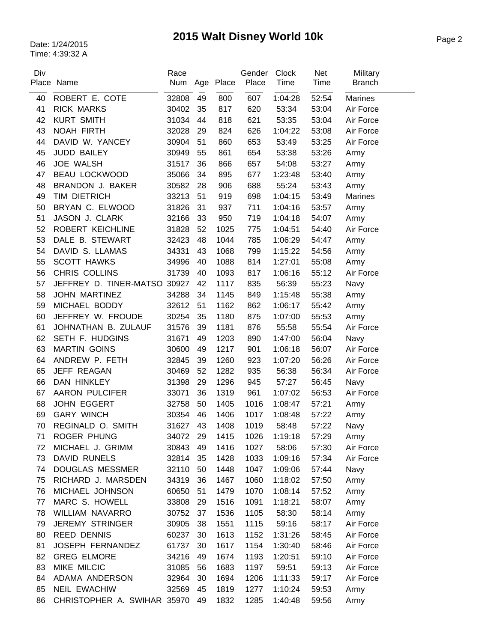# Page 2 Date: 1/24/2015 **2015 Walt Disney World 10k**

| Div |                              | Race  |    |               | Gender<br>Place | <b>Clock</b><br>Time | Net   | Military       |
|-----|------------------------------|-------|----|---------------|-----------------|----------------------|-------|----------------|
|     | Place Name                   |       |    | Num Age Place |                 |                      | Time  | <b>Branch</b>  |
| 40  | ROBERT E. COTE               | 32808 | 49 | 800           | 607             | 1:04:28              | 52:54 | Marines        |
| 41  | <b>RICK MARKS</b>            | 30402 | 35 | 817           | 620             | 53:34                | 53:04 | Air Force      |
| 42  | <b>KURT SMITH</b>            | 31034 | 44 | 818           | 621             | 53:35                | 53:04 | Air Force      |
| 43  | <b>NOAH FIRTH</b>            | 32028 | 29 | 824           | 626             | 1:04:22              | 53:08 | Air Force      |
| 44  | DAVID W. YANCEY              | 30904 | 51 | 860           | 653             | 53:49                | 53:25 | Air Force      |
| 45  | <b>JUDD BAILEY</b>           | 30949 | 55 | 861           | 654             | 53:38                | 53:26 | Army           |
| 46  | <b>JOE WALSH</b>             | 31517 | 36 | 866           | 657             | 54:08                | 53:27 | Army           |
| 47  | <b>BEAU LOCKWOOD</b>         | 35066 | 34 | 895           | 677             | 1:23:48              | 53:40 | Army           |
| 48  | BRANDON J. BAKER             | 30582 | 28 | 906           | 688             | 55:24                | 53:43 | Army           |
| 49  | TIM DIETRICH                 | 33213 | 51 | 919           | 698             | 1:04:15              | 53:49 | <b>Marines</b> |
| 50  | BRYAN C. ELWOOD              | 31826 | 31 | 937           | 711             | 1:04:16              | 53:57 | Army           |
| 51  | JASON J. CLARK               | 32166 | 33 | 950           | 719             | 1:04:18              | 54:07 | Army           |
| 52  | ROBERT KEICHLINE             | 31828 | 52 | 1025          | 775             | 1:04:51              | 54:40 | Air Force      |
| 53  | DALE B. STEWART              | 32423 | 48 | 1044          | 785             | 1:06:29              | 54:47 | Army           |
| 54  | DAVID S. LLAMAS              | 34331 | 43 | 1068          | 799             | 1:15:22              | 54:56 | Army           |
| 55  | <b>SCOTT HAWKS</b>           | 34996 | 40 | 1088          | 814             | 1:27:01              | 55:08 | Army           |
| 56  | CHRIS COLLINS                | 31739 | 40 | 1093          | 817             | 1:06:16              | 55:12 | Air Force      |
| 57  | JEFFREY D. TINER-MATSO 30927 |       | 42 | 1117          | 835             | 56:39                | 55:23 | Navy           |
| 58  | <b>JOHN MARTINEZ</b>         | 34288 | 34 | 1145          | 849             | 1:15:48              | 55:38 | Army           |
| 59  | MICHAEL BODDY                | 32612 | 51 | 1162          | 862             | 1:06:17              | 55:42 | Army           |
| 60  | JEFFREY W. FROUDE            | 30254 | 35 | 1180          | 875             | 1:07:00              | 55:53 | Army           |
| 61  | JOHNATHAN B. ZULAUF          | 31576 | 39 | 1181          | 876             | 55:58                | 55:54 | Air Force      |
| 62  | SETH F. HUDGINS              | 31671 | 49 | 1203          | 890             | 1:47:00              | 56:04 | Navy           |
| 63  | <b>MARTIN GOINS</b>          | 30600 | 49 | 1217          | 901             | 1:06:18              | 56:07 | Air Force      |
| 64  | ANDREW P. FETH               | 32845 | 39 | 1260          | 923             | 1:07:20              | 56:26 | Air Force      |
| 65  | JEFF REAGAN                  | 30469 | 52 | 1282          | 935             | 56:38                | 56:34 | Air Force      |
| 66  | DAN HINKLEY                  | 31398 | 29 | 1296          | 945             | 57:27                | 56:45 | Navy           |
| 67  | AARON PULCIFER               | 33071 | 36 | 1319          | 961             | 1:07:02              | 56:53 | Air Force      |
| 68  | <b>JOHN EGGERT</b>           | 32758 | 50 | 1405          | 1016            | 1:08:47              | 57:21 | Army           |
| 69  | <b>GARY WINCH</b>            | 30354 | 46 | 1406          | 1017            | 1:08:48              | 57:22 | Army           |
| 70  | REGINALD O. SMITH            | 31627 | 43 | 1408          | 1019            | 58:48                | 57:22 | Navy           |
| 71  | ROGER PHUNG                  | 34072 | 29 | 1415          | 1026            | 1:19:18              | 57:29 | Army           |
| 72  | MICHAEL J. GRIMM             | 30843 | 49 | 1416          | 1027            | 58:06                | 57:30 | Air Force      |
| 73  | <b>DAVID RUNELS</b>          | 32814 | 35 | 1428          | 1033            | 1:09:16              | 57:34 | Air Force      |
| 74  | <b>DOUGLAS MESSMER</b>       | 32110 | 50 | 1448          | 1047            | 1:09:06              | 57:44 | Navy           |
| 75  | RICHARD J. MARSDEN           | 34319 | 36 | 1467          | 1060            | 1:18:02              | 57:50 | Army           |
| 76  | MICHAEL JOHNSON              | 60650 | 51 | 1479          | 1070            | 1:08:14              | 57:52 | Army           |
| 77  | MARC S. HOWELL               | 33808 | 29 | 1516          | 1091            | 1:18:21              | 58:07 | Army           |
| 78  | WILLIAM NAVARRO              | 30752 | 37 | 1536          | 1105            | 58:30                | 58:14 | Army           |
| 79  | <b>JEREMY STRINGER</b>       | 30905 | 38 | 1551          | 1115            | 59:16                | 58:17 | Air Force      |
| 80  | <b>REED DENNIS</b>           | 60237 | 30 | 1613          | 1152            | 1:31:26              | 58:45 | Air Force      |
| 81  | JOSEPH FERNANDEZ             | 61737 | 30 | 1617          | 1154            | 1:30:40              | 58:46 | Air Force      |
| 82  | <b>GREG ELMORE</b>           | 34216 | 49 | 1674          | 1193            | 1:20:51              | 59:10 | Air Force      |
| 83  | MIKE MILCIC                  | 31085 | 56 | 1683          | 1197            | 59:51                | 59:13 | Air Force      |
| 84  | ADAMA ANDERSON               | 32964 | 30 | 1694          | 1206            | 1:11:33              | 59:17 | Air Force      |
| 85  | <b>NEIL EWACHIW</b>          | 32569 | 45 | 1819          | 1277            | 1:10:24              | 59:53 | Army           |
| 86  | CHRISTOPHER A. SWIHAR 35970  |       | 49 | 1832          | 1285            | 1:40:48              | 59:56 | Army           |
|     |                              |       |    |               |                 |                      |       |                |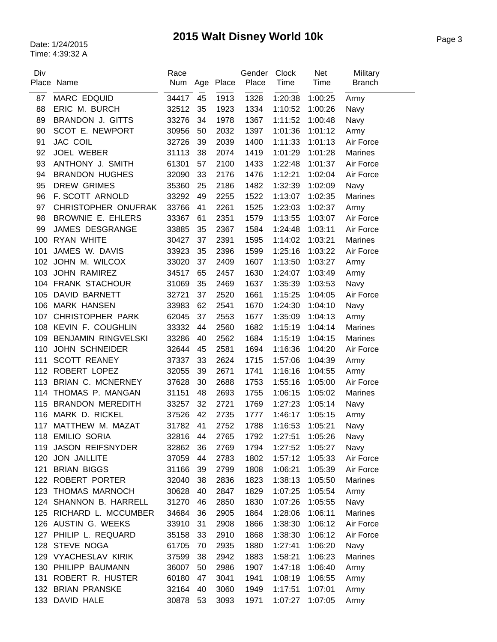# Page 3 Date: 1/24/2015 **2015 Walt Disney World 10k**

| Div | Place Name                 | Race  |    | Num Age Place | Gender<br>Place | Clock<br>Time | <b>Net</b><br>Time | Military<br><b>Branch</b> |
|-----|----------------------------|-------|----|---------------|-----------------|---------------|--------------------|---------------------------|
| 87  | MARC EDQUID                | 34417 | 45 | 1913          | 1328            | 1:20:38       | 1:00:25            | Army                      |
| 88  | ERIC M. BURCH              | 32512 | 35 | 1923          | 1334            | 1:10:52       | 1:00:26            | Navy                      |
| 89  | <b>BRANDON J. GITTS</b>    | 33276 | 34 | 1978          | 1367            | 1:11:52       | 1:00:48            | Navy                      |
| 90  | SCOT E. NEWPORT            | 30956 | 50 | 2032          | 1397            | 1:01:36       | 1:01:12            | Army                      |
| 91  | <b>JAC COIL</b>            | 32726 | 39 | 2039          | 1400            | 1:11:33       | 1:01:13            | Air Force                 |
| 92  | <b>JOEL WEBER</b>          | 31113 | 38 | 2074          | 1419            | 1:01:29       | 1:01:28            | <b>Marines</b>            |
| 93  | ANTHONY J. SMITH           | 61301 | 57 | 2100          | 1433            | 1:22:48       | 1:01:37            | Air Force                 |
| 94  | <b>BRANDON HUGHES</b>      | 32090 | 33 | 2176          | 1476            | 1:12:21       | 1:02:04            | Air Force                 |
| 95  | <b>DREW GRIMES</b>         | 35360 | 25 | 2186          | 1482            | 1:32:39       | 1:02:09            | Navy                      |
| 96  | F. SCOTT ARNOLD            | 33292 | 49 | 2255          | 1522            | 1:13:07       | 1:02:35            | <b>Marines</b>            |
| 97  | CHRISTOPHER ONUFRAK        | 33766 | 41 | 2261          | 1525            | 1:23:03       | 1:02:37            | Army                      |
| 98  | BROWNIE E. EHLERS          | 33367 | 61 | 2351          | 1579            | 1:13:55       | 1:03:07            | Air Force                 |
| 99  | JAMES DESGRANGE            | 33885 | 35 | 2367          | 1584            | 1:24:48       | 1:03:11            | Air Force                 |
| 100 | <b>RYAN WHITE</b>          | 30427 | 37 | 2391          | 1595            | 1:14:02       | 1:03:21            | <b>Marines</b>            |
| 101 | JAMES W. DAVIS             | 33923 | 35 | 2396          | 1599            | 1:25:16       | 1:03:22            | Air Force                 |
|     | 102 JOHN M. WILCOX         | 33020 | 37 | 2409          | 1607            | 1:13:50       | 1:03:27            | Army                      |
|     | 103 JOHN RAMIREZ           | 34517 | 65 | 2457          | 1630            | 1:24:07       | 1:03:49            | Army                      |
|     | 104 FRANK STACHOUR         | 31069 | 35 | 2469          | 1637            | 1:35:39       | 1:03:53            | Navy                      |
| 105 | <b>DAVID BARNETT</b>       | 32721 | 37 | 2520          | 1661            | 1:15:25       | 1:04:05            | Air Force                 |
|     | 106 MARK HANSEN            | 33983 | 62 | 2541          | 1670            | 1:24:30       | 1:04:10            | Navy                      |
|     | 107 CHRISTOPHER PARK       | 62045 | 37 | 2553          | 1677            | 1:35:09       | 1:04:13            | Army                      |
|     | 108 KEVIN F. COUGHLIN      | 33332 | 44 | 2560          | 1682            | 1:15:19       | 1:04:14            | <b>Marines</b>            |
| 109 | <b>BENJAMIN RINGVELSKI</b> | 33286 | 40 | 2562          | 1684            | 1:15:19       | 1:04:15            | <b>Marines</b>            |
| 110 | <b>JOHN SCHNEIDER</b>      | 32644 | 45 | 2581          | 1694            | 1:16:36       | 1:04:20            | Air Force                 |
| 111 | <b>SCOTT REANEY</b>        | 37337 | 33 | 2624          | 1715            | 1:57:06       | 1:04:39            | Army                      |
| 112 | ROBERT LOPEZ               | 32055 | 39 | 2671          | 1741            | 1:16:16       | 1:04:55            | Army                      |
| 113 | BRIAN C. MCNERNEY          | 37628 | 30 | 2688          | 1753            | 1:55:16       | 1:05:00            | Air Force                 |
| 114 | THOMAS P. MANGAN           | 31151 | 48 | 2693          | 1755            | 1:06:15       | 1:05:02            | <b>Marines</b>            |
| 115 | <b>BRANDON MEREDITH</b>    | 33257 | 32 | 2721          | 1769            | 1:27:23       | 1:05:14            | Navy                      |
| 116 | MARK D. RICKEL             | 37526 | 42 | 2735          | 1777            | 1:46:17       | 1:05:15            | Army                      |
|     | 117 MATTHEW M. MAZAT       | 31782 | 41 | 2752          | 1788            | 1:16:53       | 1:05:21            | Navy                      |
|     | 118 EMILIO SORIA           | 32816 | 44 | 2765          | 1792            | 1:27:51       | 1:05:26            | Navy                      |
| 119 | <b>JASON REIFSNYDER</b>    | 32862 | 36 | 2769          | 1794            | 1:27:52       | 1:05:27            | Navy                      |
| 120 | <b>JON JAILLITE</b>        | 37059 | 44 | 2783          | 1802            | 1:57:12       | 1:05:33            | Air Force                 |
| 121 | <b>BRIAN BIGGS</b>         | 31166 | 39 | 2799          | 1808            | 1:06:21       | 1:05:39            | Air Force                 |
|     | 122 ROBERT PORTER          | 32040 | 38 | 2836          | 1823            | 1:38:13       | 1:05:50            | <b>Marines</b>            |
|     | 123 THOMAS MARNOCH         | 30628 | 40 | 2847          | 1829            | 1:07:25       | 1:05:54            | Army                      |
|     | 124 SHANNON B. HARRELL     | 31270 | 46 | 2850          | 1830            | 1:07:26       | 1:05:55            | Navy                      |
|     | 125 RICHARD L. MCCUMBER    | 34684 | 36 | 2905          | 1864            | 1:28:06       | 1:06:11            | <b>Marines</b>            |
|     | 126 AUSTIN G. WEEKS        | 33910 | 31 | 2908          | 1866            | 1:38:30       | 1:06:12            | Air Force                 |
|     | 127 PHILIP L. REQUARD      | 35158 | 33 | 2910          | 1868            | 1:38:30       | 1:06:12            | Air Force                 |
|     | 128 STEVE NOGA             | 61705 | 70 | 2935          | 1880            | 1:27:41       | 1:06:20            | Navy                      |
|     | 129 VYACHESLAV KIRIK       | 37599 | 38 | 2942          | 1883            | 1:58:21       | 1:06:23            | Marines                   |
|     | 130 PHILIPP BAUMANN        | 36007 | 50 | 2986          | 1907            | 1:47:18       | 1:06:40            | Army                      |
|     | 131 ROBERT R. HUSTER       | 60180 | 47 | 3041          | 1941            | 1:08:19       | 1:06:55            | Army                      |
|     | 132 BRIAN PRANSKE          | 32164 | 40 | 3060          | 1949            | 1:17:51       | 1:07:01            | Army                      |
| 133 | DAVID HALE                 | 30878 | 53 | 3093          | 1971            | 1:07:27       | 1:07:05            | Army                      |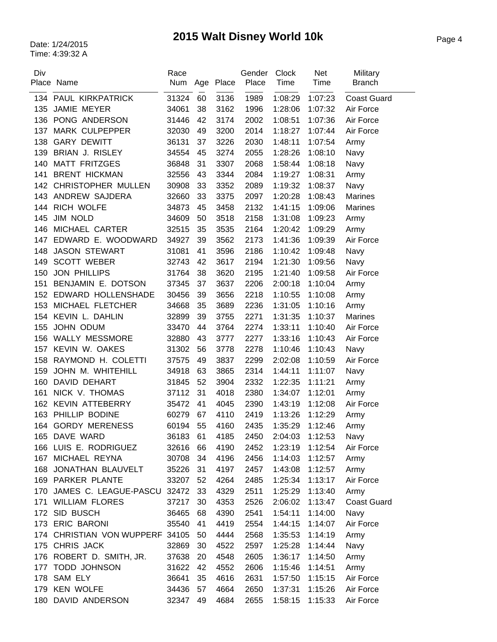| Div | Place Name                      | Race  |    | Num Age Place | Gender<br>Place | Clock<br>Time | Net<br>Time | Military<br><b>Branch</b> |
|-----|---------------------------------|-------|----|---------------|-----------------|---------------|-------------|---------------------------|
|     |                                 |       |    |               |                 |               |             |                           |
|     | 134 PAUL KIRKPATRICK            | 31324 | 60 | 3136          | 1989            | 1:08:29       | 1:07:23     | <b>Coast Guard</b>        |
| 135 | JAMIE MEYER                     | 34061 | 38 | 3162          | 1996            | 1:28:06       | 1:07:32     | Air Force                 |
| 136 | PONG ANDERSON                   | 31446 | 42 | 3174          | 2002            | 1:08:51       | 1:07:36     | Air Force                 |
| 137 | <b>MARK CULPEPPER</b>           | 32030 | 49 | 3200          | 2014            | 1:18:27       | 1:07:44     | Air Force                 |
| 138 | <b>GARY DEWITT</b>              | 36131 | 37 | 3226          | 2030            | 1:48:11       | 1:07:54     | Army                      |
|     | 139 BRIAN J. RISLEY             | 34554 | 45 | 3274          | 2055            | 1:28:26       | 1:08:10     | Navy                      |
| 140 | <b>MATT FRITZGES</b>            | 36848 | 31 | 3307          | 2068            | 1:58:44       | 1:08:18     | Navy                      |
|     | 141 BRENT HICKMAN               | 32556 | 43 | 3344          | 2084            | 1:19:27       | 1:08:31     | Army                      |
|     | 142 CHRISTOPHER MULLEN          | 30908 | 33 | 3352          | 2089            | 1:19:32       | 1:08:37     | Navy                      |
| 143 | ANDREW SAJDERA                  | 32660 | 33 | 3375          | 2097            | 1:20:28       | 1:08:43     | <b>Marines</b>            |
| 144 | RICH WOLFE                      | 34873 | 45 | 3458          | 2132            | 1:41:15       | 1:09:06     | <b>Marines</b>            |
| 145 | JIM NOLD                        | 34609 | 50 | 3518          | 2158            | 1:31:08       | 1:09:23     | Army                      |
|     | 146 MICHAEL CARTER              | 32515 | 35 | 3535          | 2164            | 1:20:42       | 1:09:29     | Army                      |
| 147 | EDWARD E. WOODWARD              | 34927 | 39 | 3562          | 2173            | 1:41:36       | 1:09:39     | Air Force                 |
| 148 | <b>JASON STEWART</b>            | 31081 | 41 | 3596          | 2186            | 1:10:42       | 1:09:48     | Navy                      |
| 149 | <b>SCOTT WEBER</b>              | 32743 | 42 | 3617          | 2194            | 1:21:30       | 1:09:56     | Navy                      |
| 150 | <b>JON PHILLIPS</b>             | 31764 | 38 | 3620          | 2195            | 1:21:40       | 1:09:58     | Air Force                 |
| 151 | BENJAMIN E. DOTSON              | 37345 | 37 | 3637          | 2206            | 2:00:18       | 1:10:04     | Army                      |
| 152 | EDWARD HOLLENSHADE              | 30456 | 39 | 3656          | 2218            | 1:10:55       | 1:10:08     | Army                      |
| 153 | MICHAEL FLETCHER                | 34668 | 35 | 3689          | 2236            | 1:31:05       | 1:10:16     | Army                      |
|     | 154 KEVIN L. DAHLIN             | 32899 | 39 | 3755          | 2271            | 1:31:35       | 1:10:37     | <b>Marines</b>            |
| 155 | JOHN ODUM                       | 33470 | 44 | 3764          | 2274            | 1:33:11       | 1:10:40     | Air Force                 |
|     | 156 WALLY MESSMORE              | 32880 | 43 | 3777          | 2277            | 1:33:16       | 1:10:43     | Air Force                 |
|     | 157 KEVIN W. OAKES              | 31302 | 56 | 3778          | 2278            | 1:10:46       | 1:10:43     | Navy                      |
| 158 | RAYMOND H. COLETTI              | 37575 | 49 | 3837          | 2299            | 2:02:08       | 1:10:59     | Air Force                 |
| 159 | JOHN M. WHITEHILL               | 34918 | 63 | 3865          | 2314            | 1:44:11       | 1:11:07     | Navy                      |
| 160 | DAVID DEHART                    | 31845 | 52 | 3904          | 2332            | 1:22:35       | 1:11:21     | Army                      |
| 161 | NICK V. THOMAS                  | 37112 | 31 | 4018          | 2380            | 1:34:07       | 1:12:01     | Army                      |
|     | 162 KEVIN ATTEBERRY             | 35472 | 41 | 4045          | 2390            | 1:43:19       | 1:12:08     | Air Force                 |
|     | 163 PHILLIP BODINE              | 60279 | 67 | 4110          | 2419            | 1:13:26       | 1:12:29     | Army                      |
|     | 164 GORDY MERENESS              | 60194 | 55 | 4160          | 2435            | 1:35:29       | 1:12:46     | Army                      |
|     | 165 DAVE WARD                   | 36183 | 61 | 4185          | 2450            | 2:04:03       | 1:12:53     | Navy                      |
|     | 166 LUIS E. RODRIGUEZ           | 32616 | 66 | 4190          | 2452            | 1:23:19       | 1:12:54     | Air Force                 |
|     | 167 MICHAEL REYNA               | 30708 | 34 | 4196          | 2456            | 1:14:03       | 1:12:57     | Army                      |
|     | 168 JONATHAN BLAUVELT           | 35226 | 31 | 4197          | 2457            | 1:43:08       | 1:12:57     | Army                      |
|     | 169 PARKER PLANTE               | 33207 | 52 | 4264          | 2485            | 1:25:34       | 1:13:17     | Air Force                 |
|     | 170 JAMES C. LEAGUE-PASCU 32472 |       | 33 | 4329          | 2511            | 1:25:29       | 1:13:40     | Army                      |
|     | 171 WILLIAM FLORES              | 37217 | 30 | 4353          | 2526            | 2:06:02       | 1:13:47     | <b>Coast Guard</b>        |
|     | 172 SID BUSCH                   | 36465 | 68 | 4390          | 2541            | 1:54:11       | 1:14:00     | Navy                      |
|     | 173 ERIC BARONI                 | 35540 | 41 | 4419          | 2554            | 1:44:15       | 1:14:07     | Air Force                 |
|     | 174 CHRISTIAN VON WUPPERF 34105 |       | 50 | 4444          | 2568            | 1:35:53       | 1:14:19     | Army                      |
|     | 175 CHRIS JACK                  |       |    |               |                 |               | 1:14:44     |                           |
|     |                                 | 32869 | 30 | 4522          | 2597            | 1:25:28       |             | Navy                      |
|     | 176 ROBERT D. SMITH, JR.        | 37638 | 20 | 4548          | 2605            | 1:36:17       | 1:14:50     | Army                      |
|     | 177 TODD JOHNSON                | 31622 | 42 | 4552          | 2606            | 1:15:46       | 1:14:51     | Army                      |
|     | 178 SAM ELY                     | 36641 | 35 | 4616          | 2631            | 1:57:50       | 1:15:15     | Air Force                 |
|     | 179 KEN WOLFE                   | 34436 | 57 | 4664          | 2650            | 1:37:31       | 1:15:26     | Air Force                 |
|     | 180 DAVID ANDERSON              | 32347 | 49 | 4684          | 2655            | 1:58:15       | 1:15:33     | Air Force                 |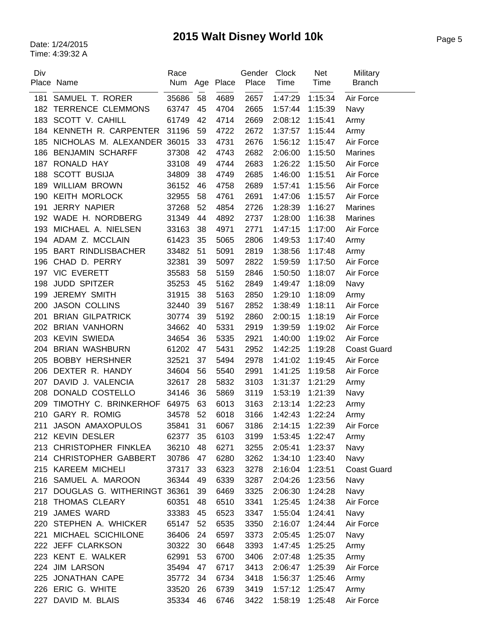| Div | Place Name                      | Race<br>Num |    | Age Place | Gender<br>Place | Clock<br>Time | <b>Net</b><br>Time | Military<br><b>Branch</b> |
|-----|---------------------------------|-------------|----|-----------|-----------------|---------------|--------------------|---------------------------|
| 181 | SAMUEL T. RORER                 | 35686       | 58 | 4689      | 2657            | 1:47:29       | 1:15:34            | Air Force                 |
| 182 | <b>TERRENCE CLEMMONS</b>        | 63747       | 45 | 4704      | 2665            | 1:57:44       | 1:15:39            | Navy                      |
| 183 | SCOTT V. CAHILL                 | 61749       | 42 | 4714      | 2669            | 2:08:12       | 1:15:41            | Army                      |
|     | 184 KENNETH R. CARPENTER        | 31196       | 59 | 4722      | 2672            | 1:37:57       | 1:15:44            | Army                      |
| 185 | NICHOLAS M. ALEXANDER 36015     |             | 33 | 4731      | 2676            | 1:56:12       | 1:15:47            | Air Force                 |
| 186 | <b>BENJAMIN SCHARFF</b>         | 37308       | 42 | 4743      | 2682            | 2:06:00       | 1:15:50            | <b>Marines</b>            |
| 187 | RONALD HAY                      | 33108       | 49 | 4744      | 2683            | 1:26:22       | 1:15:50            | Air Force                 |
| 188 | <b>SCOTT BUSIJA</b>             | 34809       | 38 | 4749      | 2685            | 1:46:00       | 1:15:51            | Air Force                 |
| 189 | <b>WILLIAM BROWN</b>            | 36152       | 46 | 4758      | 2689            | 1:57:41       | 1:15:56            | Air Force                 |
| 190 | <b>KEITH MORLOCK</b>            | 32955       | 58 | 4761      | 2691            | 1:47:06       | 1:15:57            | Air Force                 |
| 191 | <b>JERRY NAPIER</b>             | 37268       | 52 | 4854      | 2726            | 1:28:39       | 1:16:27            | <b>Marines</b>            |
|     | 192 WADE H. NORDBERG            | 31349       | 44 | 4892      | 2737            | 1:28:00       | 1:16:38            | <b>Marines</b>            |
| 193 | MICHAEL A. NIELSEN              | 33163       | 38 | 4971      | 2771            | 1:47:15       | 1:17:00            | Air Force                 |
|     | 194 ADAM Z. MCCLAIN             | 61423       | 35 | 5065      | 2806            | 1:49:53       | 1:17:40            | Army                      |
| 195 | <b>BART RINDLISBACHER</b>       | 33482       | 51 | 5091      | 2819            | 1:38:56       | 1:17:48            | Army                      |
|     | 196 CHAD D. PERRY               | 32381       | 39 | 5097      | 2822            | 1:59:59       | 1:17:50            | Air Force                 |
|     | 197 VIC EVERETT                 | 35583       | 58 | 5159      | 2846            | 1:50:50       | 1:18:07            | Air Force                 |
| 198 | <b>JUDD SPITZER</b>             | 35253       | 45 | 5162      | 2849            | 1:49:47       | 1:18:09            | Navy                      |
| 199 | <b>JEREMY SMITH</b>             | 31915       | 38 | 5163      | 2850            | 1:29:10       | 1:18:09            | Army                      |
| 200 | <b>JASON COLLINS</b>            | 32440       | 39 | 5167      | 2852            | 1:38:49       | 1:18:11            | Air Force                 |
| 201 | <b>BRIAN GILPATRICK</b>         | 30774       | 39 | 5192      | 2860            | 2:00:15       | 1:18:19            | Air Force                 |
|     | 202 BRIAN VANHORN               | 34662       | 40 | 5331      | 2919            | 1:39:59       | 1:19:02            | Air Force                 |
|     | 203 KEVIN SWIEDA                | 34654       | 36 | 5335      | 2921            | 1:40:00       | 1:19:02            | Air Force                 |
| 204 | <b>BRIAN WASHBURN</b>           | 61202       | 47 | 5431      | 2952            | 1:42:25       | 1:19:28            | <b>Coast Guard</b>        |
| 205 | <b>BOBBY HERSHNER</b>           | 32521       | 37 | 5494      | 2978            | 1:41:02       | 1:19:45            | Air Force                 |
| 206 | DEXTER R. HANDY                 | 34604       | 56 | 5540      | 2991            | 1:41:25       | 1:19:58            | Air Force                 |
| 207 | DAVID J. VALENCIA               | 32617       | 28 | 5832      | 3103            | 1:31:37       | 1:21:29            | Army                      |
| 208 | DONALD COSTELLO                 | 34146       | 36 | 5869      | 3119            | 1:53:19       | 1:21:39            | Navy                      |
| 209 | TIMOTHY C. BRINKERHOF           | 64975       | 63 | 6013      | 3163            | 2:13:14       | 1:22:23            | Army                      |
| 210 | <b>GARY R. ROMIG</b>            | 34578       | 52 | 6018      | 3166            | 1:42:43       | 1:22:24            | Army                      |
| 211 | <b>JASON AMAXOPULOS</b>         | 35841       | 31 | 6067      | 3186            | 2:14:15       | 1:22:39            | Air Force                 |
|     | 212 KEVIN DESLER                | 62377       | 35 | 6103      | 3199            | 1:53:45       | 1:22:47            | Army                      |
|     | 213 CHRISTOPHER FINKLEA         | 36210       | 48 | 6271      | 3255            | 2:05:41       | 1:23:37            | Navy                      |
|     | 214 CHRISTOPHER GABBERT         | 30786       | 47 | 6280      | 3262            | 1:34:10       | 1:23:40            | Navy                      |
|     | 215 KAREEM MICHELI              | 37317       | 33 | 6323      | 3278            | 2:16:04       | 1:23:51            | <b>Coast Guard</b>        |
|     | 216 SAMUEL A. MAROON            | 36344       | 49 | 6339      | 3287            | 2:04:26       | 1:23:56            | Navy                      |
|     | 217 DOUGLAS G. WITHERINGT 36361 |             | 39 | 6469      | 3325            | 2:06:30       | 1:24:28            | Navy                      |
|     | 218 THOMAS CLEARY               | 60351       | 48 | 6510      | 3341            | 1:25:45       | 1:24:38            | Air Force                 |
| 219 | JAMES WARD                      | 33383       | 45 | 6523      | 3347            | 1:55:04       | 1:24:41            | Navy                      |
|     | 220 STEPHEN A. WHICKER          | 65147       | 52 | 6535      | 3350            | 2:16:07       | 1:24:44            | Air Force                 |
|     | 221 MICHAEL SCICHILONE          | 36406       | 24 | 6597      | 3373            | 2:05:45       | 1:25:07            | Navy                      |
|     | 222 JEFF CLARKSON               | 30322       | 30 | 6648      | 3393            | 1:47:45       | 1:25:25            | Army                      |
|     | 223 KENT E. WALKER              | 62991       | 53 | 6700      | 3406            | 2:07:48       | 1:25:35            |                           |
|     | 224 JIM LARSON                  | 35494       | 47 | 6717      | 3413            | 2:06:47       | 1:25:39            | Army<br>Air Force         |
|     | 225 JONATHAN CAPE               |             | 34 | 6734      | 3418            | 1:56:37       |                    |                           |
|     | 226 ERIC G. WHITE               | 35772       | 26 |           |                 |               | 1:25:46            | Army                      |
|     |                                 | 33520       |    | 6739      | 3419            | 1:57:12       | 1:25:47            | Army                      |
| 227 | DAVID M. BLAIS                  | 35334       | 46 | 6746      | 3422            | 1:58:19       | 1:25:48            | Air Force                 |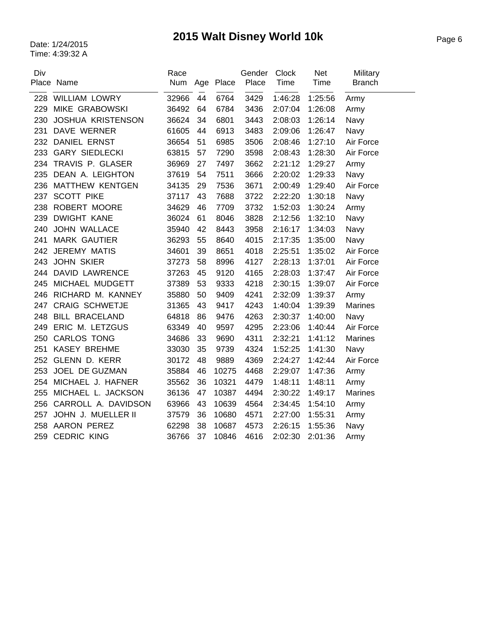# Page 6 Date: 1/24/2015 **2015 Walt Disney World 10k**

| Div | Place Name               | Race<br>Num |    | Age Place | Gender<br>Place | Clock<br>Time | Net<br>Time | Military<br><b>Branch</b> |
|-----|--------------------------|-------------|----|-----------|-----------------|---------------|-------------|---------------------------|
|     | 228 WILLIAM LOWRY        | 32966       | 44 | 6764      | 3429            | 1:46:28       | 1:25:56     | Army                      |
| 229 | <b>MIKE GRABOWSKI</b>    | 36492       | 64 | 6784      | 3436            | 2:07:04       | 1:26:08     | Army                      |
| 230 | <b>JOSHUA KRISTENSON</b> | 36624       | 34 | 6801      | 3443            | 2:08:03       | 1:26:14     | Navy                      |
| 231 | DAVE WERNER              | 61605       | 44 | 6913      | 3483            | 2:09:06       | 1:26:47     | Navy                      |
| 232 | <b>DANIEL ERNST</b>      | 36654       | 51 | 6985      | 3506            | 2:08:46       | 1:27:10     | Air Force                 |
|     | 233 GARY SIEDLECKI       | 63815       | 57 | 7290      | 3598            | 2:08:43       | 1:28:30     | Air Force                 |
|     | 234 TRAVIS P. GLASER     | 36969       | 27 | 7497      | 3662            | 2:21:12       | 1:29:27     | Army                      |
| 235 | DEAN A. LEIGHTON         | 37619       | 54 | 7511      | 3666            | 2:20:02       | 1:29:33     | Navy                      |
| 236 | <b>MATTHEW KENTGEN</b>   | 34135       | 29 | 7536      | 3671            | 2:00:49       | 1:29:40     | Air Force                 |
| 237 | <b>SCOTT PIKE</b>        | 37117       | 43 | 7688      | 3722            | 2:22:20       | 1:30:18     | Navy                      |
|     | 238 ROBERT MOORE         | 34629       | 46 | 7709      | 3732            | 1:52:03       | 1:30:24     | Army                      |
| 239 | <b>DWIGHT KANE</b>       | 36024       | 61 | 8046      | 3828            | 2:12:56       | 1:32:10     | Navy                      |
| 240 | JOHN WALLACE             | 35940       | 42 | 8443      | 3958            | 2:16:17       | 1:34:03     | Navy                      |
| 241 | <b>MARK GAUTIER</b>      | 36293       | 55 | 8640      | 4015            | 2:17:35       | 1:35:00     | Navy                      |
| 242 | <b>JEREMY MATIS</b>      | 34601       | 39 | 8651      | 4018            | 2:25:51       | 1:35:02     | Air Force                 |
| 243 | <b>JOHN SKIER</b>        | 37273       | 58 | 8996      | 4127            | 2:28:13       | 1:37:01     | Air Force                 |
|     | 244 DAVID LAWRENCE       | 37263       | 45 | 9120      | 4165            | 2:28:03       | 1:37:47     | Air Force                 |
|     | 245 MICHAEL MUDGETT      | 37389       | 53 | 9333      | 4218            | 2:30:15       | 1:39:07     | Air Force                 |
| 246 | RICHARD M. KANNEY        | 35880       | 50 | 9409      | 4241            | 2:32:09       | 1:39:37     | Army                      |
| 247 | <b>CRAIG SCHWETJE</b>    | 31365       | 43 | 9417      | 4243            | 1:40:04       | 1:39:39     | <b>Marines</b>            |
| 248 | <b>BILL BRACELAND</b>    | 64818       | 86 | 9476      | 4263            | 2:30:37       | 1:40:00     | Navy                      |
| 249 | ERIC M. LETZGUS          | 63349       | 40 | 9597      | 4295            | 2:23:06       | 1:40:44     | Air Force                 |
|     | 250 CARLOS TONG          | 34686       | 33 | 9690      | 4311            | 2:32:21       | 1:41:12     | <b>Marines</b>            |
| 251 | <b>KASEY BREHME</b>      | 33030       | 35 | 9739      | 4324            | 1:52:25       | 1:41:30     | Navy                      |
| 252 | GLENN D. KERR            | 30172       | 48 | 9889      | 4369            | 2:24:27       | 1:42:44     | Air Force                 |
| 253 | JOEL DE GUZMAN           | 35884       | 46 | 10275     | 4468            | 2:29:07       | 1:47:36     | Army                      |
|     | 254 MICHAEL J. HAFNER    | 35562       | 36 | 10321     | 4479            | 1:48:11       | 1:48:11     | Army                      |
| 255 | MICHAEL L. JACKSON       | 36136       | 47 | 10387     | 4494            | 2:30:22       | 1:49:17     | <b>Marines</b>            |
|     | 256 CARROLL A. DAVIDSON  | 63966       | 43 | 10639     | 4564            | 2:34:45       | 1:54:10     | Army                      |
|     | 257 JOHN J. MUELLER II   | 37579       | 36 | 10680     | 4571            | 2:27:00       | 1:55:31     | Army                      |
|     | 258 AARON PEREZ          | 62298       | 38 | 10687     | 4573            | 2:26:15       | 1:55:36     | Navy                      |
|     | 259 CEDRIC KING          | 36766       | 37 | 10846     | 4616            | 2:02:30       | 2:01:36     | Army                      |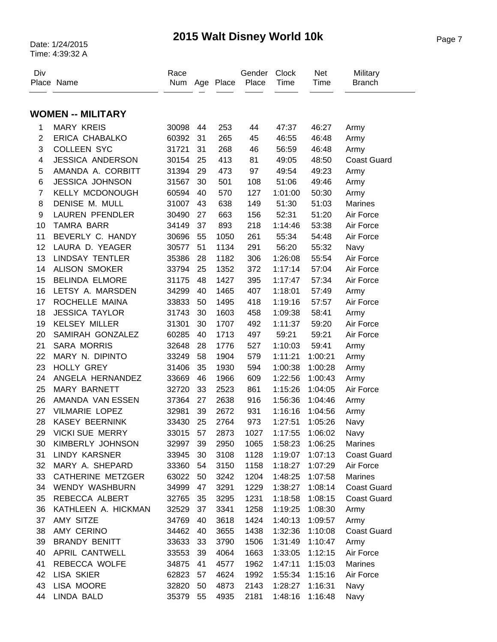### Page 7 Date: 1/24/2015 **2015 Walt Disney World 10k**

| Div            | Place Name               | Race<br>Num |    | Age Place | Gender<br>Place | Clock<br>Time | Net<br>Time     | Military<br><b>Branch</b> |
|----------------|--------------------------|-------------|----|-----------|-----------------|---------------|-----------------|---------------------------|
|                |                          |             |    |           |                 |               |                 |                           |
|                | <b>WOMEN -- MILITARY</b> |             |    |           |                 |               |                 |                           |
| 1              | <b>MARY KREIS</b>        | 30098       | 44 | 253       | 44              | 47:37         | 46:27           | Army                      |
| $\overline{2}$ | <b>ERICA CHABALKO</b>    | 60392       | 31 | 265       | 45              | 46:55         | 46:48           | Army                      |
| 3              | <b>COLLEEN SYC</b>       | 31721       | 31 | 268       | 46              | 56:59         | 46:48           | Army                      |
| 4              | <b>JESSICA ANDERSON</b>  | 30154       | 25 | 413       | 81              | 49:05         | 48:50           | <b>Coast Guard</b>        |
| 5              | AMANDA A. CORBITT        | 31394       | 29 | 473       | 97              | 49:54         | 49:23           | Army                      |
| $\,6$          | <b>JESSICA JOHNSON</b>   | 31567       | 30 | 501       | 108             | 51:06         | 49:46           | Army                      |
| $\overline{7}$ | <b>KELLY MCDONOUGH</b>   | 60594       | 40 | 570       | 127             | 1:01:00       | 50:30           | Army                      |
| 8              | DENISE M. MULL           | 31007       | 43 | 638       | 149             | 51:30         | 51:03           | Marines                   |
| 9              | <b>LAUREN PFENDLER</b>   | 30490       | 27 | 663       | 156             | 52:31         | 51:20           | Air Force                 |
| 10             | <b>TAMRA BARR</b>        | 34149       | 37 | 893       | 218             | 1:14:46       | 53:38           | Air Force                 |
| 11             | BEVERLY C. HANDY         | 30696       | 55 | 1050      | 261             | 55:34         | 54:48           | Air Force                 |
| 12             | LAURA D. YEAGER          | 30577       | 51 | 1134      | 291             | 56:20         | 55:32           | Navy                      |
| 13             | <b>LINDSAY TENTLER</b>   | 35386       | 28 | 1182      | 306             | 1:26:08       | 55:54           | Air Force                 |
| 14             | <b>ALISON SMOKER</b>     | 33794       | 25 | 1352      | 372             | 1:17:14       | 57:04           | Air Force                 |
| 15             | <b>BELINDA ELMORE</b>    | 31175       | 48 | 1427      | 395             | 1:17:47       | 57:34           | Air Force                 |
| 16             | LETSY A. MARSDEN         | 34299       | 40 | 1465      | 407             | 1:18:01       | 57:49           | Army                      |
| 17             | ROCHELLE MAINA           | 33833       | 50 | 1495      | 418             | 1:19:16       | 57:57           | Air Force                 |
| 18             | <b>JESSICA TAYLOR</b>    | 31743       | 30 | 1603      | 458             | 1:09:38       | 58:41           | Army                      |
| 19             | <b>KELSEY MILLER</b>     | 31301       | 30 | 1707      | 492             | 1:11:37       | 59:20           | Air Force                 |
| 20             | SAMIRAH GONZALEZ         | 60285       | 40 | 1713      | 497             | 59:21         | 59:21           | Air Force                 |
| 21             | <b>SARA MORRIS</b>       | 32648       | 28 | 1776      | 527             | 1:10:03       | 59:41           | Army                      |
| 22             | MARY N. DIPINTO          | 33249       | 58 | 1904      | 579             | 1:11:21       | 1:00:21         | Army                      |
| 23             | <b>HOLLY GREY</b>        | 31406       | 35 | 1930      | 594             | 1:00:38       | 1:00:28         | Army                      |
| 24             | ANGELA HERNANDEZ         | 33669       | 46 | 1966      | 609             | 1:22:56       | 1:00:43         | Army                      |
| 25             | <b>MARY BARNETT</b>      | 32720       | 33 | 2523      | 861             | 1:15:26       | 1:04:05         | Air Force                 |
| 26             | AMANDA VAN ESSEN         | 37364       | 27 | 2638      | 916             | 1:56:36       | 1:04:46         | Army                      |
| 27             | VILMARIE LOPEZ           | 32981       | 39 | 2672      | 931             | 1:16:16       | 1:04:56         | Army                      |
| 28             | <b>KASEY BEERNINK</b>    | 33430       | 25 | 2764      | 973             | 1:27:51       | 1:05:26         | Navy                      |
| 29             | <b>VICKI SUE MERRY</b>   | 33015       | 57 | 2873      | 1027            |               | 1:17:55 1:06:02 | Navy                      |
| 30             | KIMBERLY JOHNSON         | 32997 39    |    | 2950      | 1065            |               | 1:58:23 1:06:25 | <b>Marines</b>            |
| 31             | LINDY KARSNER            | 33945       | 30 | 3108      | 1128            | 1:19:07       | 1:07:13         | <b>Coast Guard</b>        |
| 32             | MARY A. SHEPARD          | 33360       | 54 | 3150      | 1158            | 1:18:27       | 1:07:29         | Air Force                 |
| 33             | CATHERINE METZGER        | 63022       | 50 | 3242      | 1204            | 1:48:25       | 1:07:58         | Marines                   |
| 34             | <b>WENDY WASHBURN</b>    | 34999       | 47 | 3291      | 1229            | 1:38:27       | 1:08:14         | <b>Coast Guard</b>        |
| 35             | REBECCA ALBERT           | 32765       | 35 | 3295      | 1231            | 1:18:58       | 1:08:15         | <b>Coast Guard</b>        |
| 36             | KATHLEEN A. HICKMAN      | 32529       | 37 | 3341      | 1258            | 1:19:25       | 1:08:30         | Army                      |
| 37             | AMY SITZE                | 34769       | 40 | 3618      | 1424            | 1:40:13       | 1:09:57         | Army                      |
| 38             | AMY CERINO               | 34462       | 40 | 3655      | 1438            |               | 1:32:36 1:10:08 | <b>Coast Guard</b>        |
| 39             | BRANDY BENITT            | 33633       | 33 | 3790      | 1506            | 1:31:49       | 1:10:47         | Army                      |
| 40             | APRIL CANTWELL           | 33553       | 39 | 4064      | 1663            | 1:33:05       | 1:12:15         | Air Force                 |
| 41             | REBECCA WOLFE            | 34875       | 41 | 4577      | 1962            | 1:47:11       | 1:15:03         | Marines                   |
| 42             | <b>LISA SKIER</b>        | 62823       | 57 | 4624      | 1992            | 1:55:34       | 1:15:16         | Air Force                 |
| 43             | LISA MOORE               | 32820       | 50 | 4873      | 2143            | 1:28:27       | 1:16:31         | Navy                      |
| 44             | LINDA BALD               | 35379 55    |    | 4935      | 2181            | 1:48:16       | 1:16:48         | Navy                      |